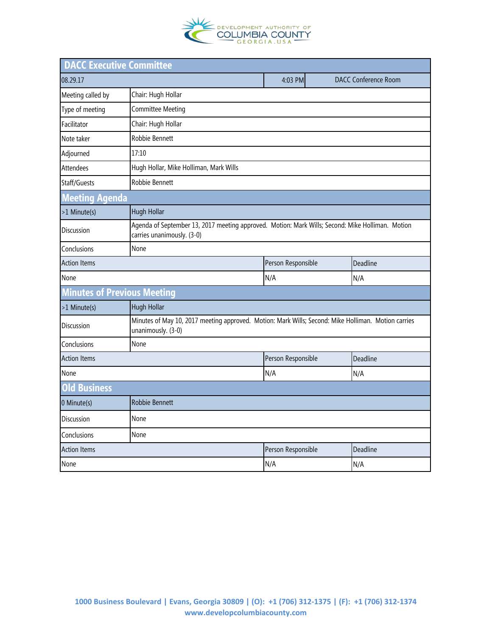

| <b>DACC Executive Committee</b>    |                                                                                                                                |                    |                             |  |
|------------------------------------|--------------------------------------------------------------------------------------------------------------------------------|--------------------|-----------------------------|--|
| 08.29.17                           |                                                                                                                                | 4:03 PM            | <b>DACC Conference Room</b> |  |
| Meeting called by                  | Chair: Hugh Hollar                                                                                                             |                    |                             |  |
| Type of meeting                    | Committee Meeting                                                                                                              |                    |                             |  |
| Facilitator                        | Chair: Hugh Hollar                                                                                                             |                    |                             |  |
| Note taker                         | <b>Robbie Bennett</b>                                                                                                          |                    |                             |  |
| Adjourned                          | 17:10                                                                                                                          |                    |                             |  |
| <b>Attendees</b>                   | Hugh Hollar, Mike Holliman, Mark Wills                                                                                         |                    |                             |  |
| Staff/Guests                       | Robbie Bennett                                                                                                                 |                    |                             |  |
| <b>Meeting Agenda</b>              |                                                                                                                                |                    |                             |  |
| >1 Minute(s)                       | <b>Hugh Hollar</b>                                                                                                             |                    |                             |  |
| Discussion                         | Agenda of September 13, 2017 meeting approved. Motion: Mark Wills; Second: Mike Holliman. Motion<br>carries unanimously. (3-0) |                    |                             |  |
| Conclusions                        | None                                                                                                                           |                    |                             |  |
| <b>Action Items</b>                |                                                                                                                                | Person Responsible | Deadline                    |  |
| None                               |                                                                                                                                | N/A                | N/A                         |  |
| <b>Minutes of Previous Meeting</b> |                                                                                                                                |                    |                             |  |
| >1 Minute(s)                       | Hugh Hollar                                                                                                                    |                    |                             |  |
| <b>Discussion</b>                  | Minutes of May 10, 2017 meeting approved. Motion: Mark Wills; Second: Mike Holliman. Motion carries<br>unanimously. (3-0)      |                    |                             |  |
| Conclusions                        | None                                                                                                                           |                    |                             |  |
| <b>Action Items</b>                |                                                                                                                                | Person Responsible | Deadline                    |  |
| None                               |                                                                                                                                | N/A                | N/A                         |  |
| <b>Old Business</b>                |                                                                                                                                |                    |                             |  |
| 0 Minute(s)                        | <b>Robbie Bennett</b>                                                                                                          |                    |                             |  |
| Discussion                         | None                                                                                                                           |                    |                             |  |
| Conclusions                        | None                                                                                                                           |                    |                             |  |
| <b>Action Items</b>                |                                                                                                                                | Person Responsible | Deadline                    |  |
| None                               |                                                                                                                                | N/A                | N/A                         |  |